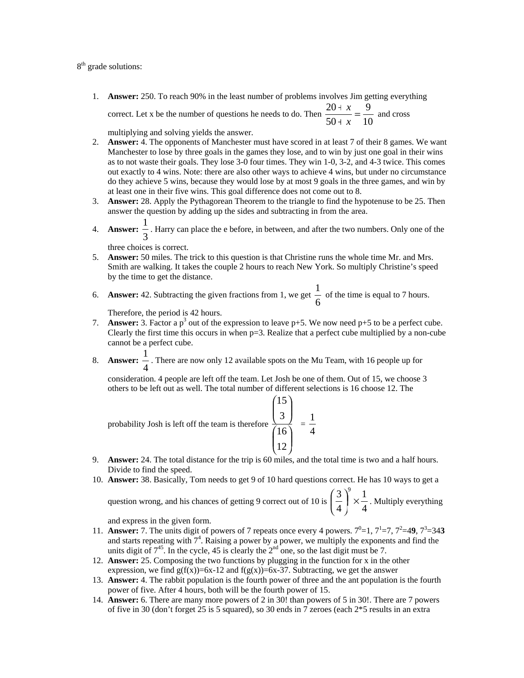8<sup>th</sup> grade solutions:

1. **Answer:** 250. To reach 90% in the least number of problems involves Jim getting everything

correct. Let x be the number of questions he needs to do. Then  $\frac{26+16}{50+x} = \frac{2}{10}$ 9  $\frac{20+x}{50+x} =$ *x*  $\frac{x}{-} = \frac{9}{x}$  and cross

multiplying and solving yields the answer.

- 2. **Answer:** 4. The opponents of Manchester must have scored in at least 7 of their 8 games. We want Manchester to lose by three goals in the games they lose, and to win by just one goal in their wins as to not waste their goals. They lose 3-0 four times. They win 1-0, 3-2, and 4-3 twice. This comes out exactly to 4 wins. Note: there are also other ways to achieve 4 wins, but under no circumstance do they achieve 5 wins, because they would lose by at most 9 goals in the three games, and win by at least one in their five wins. This goal difference does not come out to 8.
- 3. **Answer:** 28. Apply the Pythagorean Theorem to the triangle to find the hypotenuse to be 25. Then answer the question by adding up the sides and subtracting in from the area.
- 4. **Answer:** 3 1 . Harry can place the e before, in between, and after the two numbers. Only one of the

three choices is correct.

- 5. **Answer:** 50 miles. The trick to this question is that Christine runs the whole time Mr. and Mrs. Smith are walking. It takes the couple 2 hours to reach New York. So multiply Christine's speed by the time to get the distance.
- 6. **Answer:** 42. Subtracting the given fractions from 1, we get  $\frac{1}{6}$  $\frac{1}{x}$  of the time is equal to 7 hours.

Therefore, the period is 42 hours.

- 7. **Answer:** 3. Factor a  $p^3$  out of the expression to leave  $p+5$ . We now need  $p+5$  to be a perfect cube. Clearly the first time this occurs in when p=3. Realize that a perfect cube multiplied by a non-cube cannot be a perfect cube.
- 8. **Answer:** 4 1 . There are now only 12 available spots on the Mu Team, with 16 people up for

consideration. 4 people are left off the team. Let Josh be one of them. Out of 15, we choose 3 others to be left out as well. The total number of different selections is 16 choose 12. The

probability Josh is left off the team is therefore\n
$$
\frac{\binom{15}{3}}{\binom{16}{12}} = \frac{1}{4}
$$

- 9. **Answer:** 24. The total distance for the trip is 60 miles, and the total time is two and a half hours. Divide to find the speed.
- 10. **Answer:** 38. Basically, Tom needs to get 9 of 10 hard questions correct. He has 10 ways to get a

question wrong, and his chances of getting 9 correct out of 10 is  $\begin{bmatrix} 2 \\ 4 \end{bmatrix} \times \frac{1}{4}$ 1 4  $3<sup>9</sup>$  $\left(\frac{3}{4}\right)^{3}$  × ⎝  $\left(\frac{3}{2}\right) \times \frac{1}{2}$ . Multiply everything

and express in the given form.

- 11. **Answer:** 7. The units digit of powers of 7 repeats once every 4 powers.  $7^0=1$ ,  $7^1=7$ ,  $7^2=49$ ,  $7^3=343$ and starts repeating with  $7<sup>4</sup>$ . Raising a power by a power, we multiply the exponents and find the units digit of  $7^{45}$ . In the cycle, 45 is clearly the  $2^{nd}$  one, so the last digit must be 7.
- 12. **Answer:** 25. Composing the two functions by plugging in the function for x in the other expression, we find  $g(f(x))=6x-12$  and  $f(g(x))=6x-37$ . Subtracting, we get the answer
- 13. **Answer:** 4. The rabbit population is the fourth power of three and the ant population is the fourth power of five. After 4 hours, both will be the fourth power of 15.
- 14. **Answer:** 6. There are many more powers of 2 in 30! than powers of 5 in 30!. There are 7 powers of five in 30 (don't forget 25 is 5 squared), so 30 ends in 7 zeroes (each 2\*5 results in an extra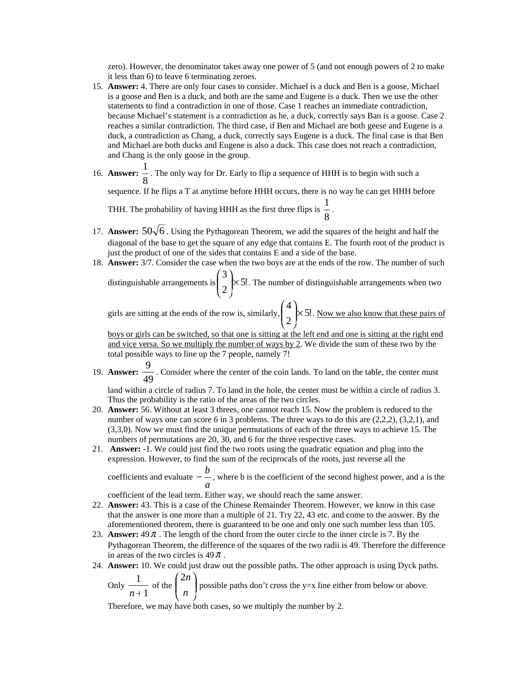zero). However, the denominator takes away one power of 5 (and not enough powers of 2 to make it less than 6) to leave 6 terminating zeroes.

- 15. **Answer:** 4. There are only four cases to consider. Michael is a duck and Ben is a goose, Michael is a goose and Ben is a duck, and both are the same and Eugene is a duck. Then we use the other statements to find a contradiction in one of those. Case 1 reaches an immediate contradiction, because Michael's statement is a contradiction as he, a duck, correctly says Ban is a goose. Case 2 reaches a similar contradiction. The third case, if Ben and Michael are both geese and Eugene is a duck, a contradiction as Chang, a duck, correctly says Eugene is a duck. The final case is that Ben and Michael are both ducks and Eugene is also a duck. This case does not reach a contradiction, and Chang is the only goose in the group.
- 16. **Answer:** 8  $\frac{1}{x}$ . The only way for Dr. Early to flip a sequence of HHH is to begin with such a

sequence. If he flips a T at anytime before HHH occurs, there is no way he can get HHH before

THH. The probability of having HHH as the first three flips is  $\frac{1}{8}$  $\frac{1}{2}$ .

- 17. **Answer:**  $50\sqrt{6}$ . Using the Pythagorean Theorem, we add the squares of the height and half the diagonal of the base to get the square of any edge that contains E. The fourth root of the product is just the product of one of the sides that contains E and a side of the base.
- 18. **Answer:** 3/7. Consider the case when the two boys are at the ends of the row. The number of such 3  $\overline{\phantom{a}}$

distinguishable arrangements is  $\left[\begin{array}{c} 0 \\ 0 \end{array}\right] \times 5!$ 2  $\mathsf{K}$ ⎠ ⎜ ⎜ ⎝  $\binom{3}{2}$  × 5!. The number of distinguishable arrangements when two

girls are sitting at the ends of the row is, similarly,  $\left| \times 5! \right|$ 2 4  $\mathsf{K}$ ⎠  $\overline{\phantom{a}}$ ⎜ ⎜ ⎝  $\binom{4}{1}$  × 5!. Now we also know that these pairs of

boys or girls can be switched, so that one is sitting at the left end and one is sitting at the right end and vice versa. So we multiply the number of ways by 2. We divide the sum of these two by the total possible ways to line up the 7 people, namely 7!

19. **Answer:** 49  $\frac{9}{10}$ . Consider where the center of the coin lands. To land on the table, the center must

land within a circle of radius 7. To land in the hole, the center must be within a circle of radius 3. Thus the probability is the ratio of the areas of the two circles.

- 20. **Answer:** 56. Without at least 3 threes, one cannot reach 15. Now the problem is reduced to the number of ways one can score 6 in 3 problems. The three ways to do this are  $(2,2,2)$ ,  $(3,2,1)$ , and (3,3,0). Now we must find the unique permutations of each of the three ways to achieve 15. The numbers of permutations are 20, 30, and 6 for the three respective cases.
- 21. **Answer:** -1. We could just find the two roots using the quadratic equation and plug into the expression. However, to find the sum of the reciprocals of the roots, just reverse all the

coefficients and evaluate  $-\frac{a}{a}$ *b* − −, where b is the coefficient of the second highest power, and a is the

coefficient of the lead term. Either way, we should reach the same answer.

- 22. **Answer:** 43. This is a case of the Chinese Remainder Theorem. However, we know in this case that the answer is one more than a multiple of 21. Try 22, 43 etc. and come to the answer. By the aforementioned theorem, there is guaranteed to be one and only one such number less than 105.
- 23. **Answer:** 49<sup>π</sup> . The length of the chord from the outer circle to the inner circle is 7. By the Pythagorean Theorem, the difference of the squares of the two radii is 49. Therefore the difference in areas of the two circles is  $49 \pi$ .
- 24. **Answer:** 10. We could just draw out the possible paths. The other approach is using Dyck paths.

Only  $\frac{1}{n+1}$ 1  $\frac{1}{n+1}$  of the  $\begin{pmatrix} 2n \\ n \end{pmatrix}$ ⎠  $\lambda$  $\mathsf I$ ⎝ ⎛ *n* 2*n* possible paths don't cross the y=x line either from below or above.

Therefore, we may have both cases, so we multiply the number by 2.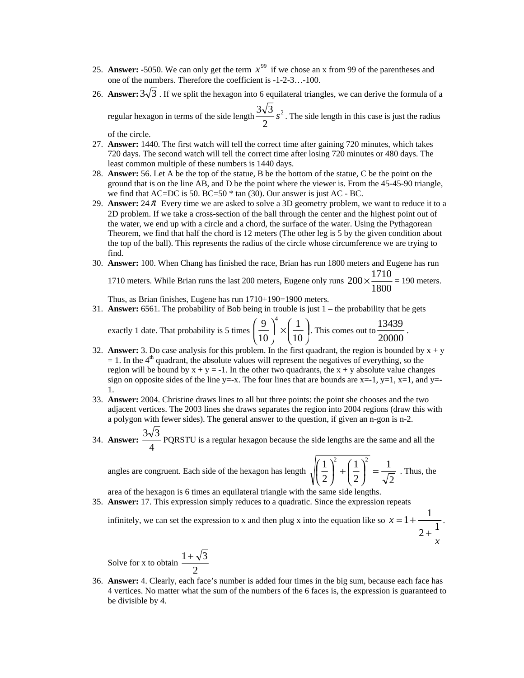- 25. **Answer:** -5050. We can only get the term  $x^{99}$  if we chose an x from 99 of the parentheses and one of the numbers. Therefore the coefficient is -1-2-3…-100.
- 26. **Answer:**  $3\sqrt{3}$ . If we split the hexagon into 6 equilateral triangles, we can derive the formula of a

regular hexagon in terms of the side length  $\frac{3\sqrt{3}}{2} s^2$ 2  $\frac{3\sqrt{3}}{2}s^2$ . The side length in this case is just the radius

of the circle.

- 27. **Answer:** 1440. The first watch will tell the correct time after gaining 720 minutes, which takes 720 days. The second watch will tell the correct time after losing 720 minutes or 480 days. The least common multiple of these numbers is 1440 days.
- 28. **Answer:** 56. Let A be the top of the statue, B be the bottom of the statue, C be the point on the ground that is on the line AB, and D be the point where the viewer is. From the 45-45-90 triangle, we find that AC=DC is 50. BC=50 \* tan (30). Our answer is just AC - BC.
- 29. **Answer:**  $24 \pi$  Every time we are asked to solve a 3D geometry problem, we want to reduce it to a 2D problem. If we take a cross-section of the ball through the center and the highest point out of the water, we end up with a circle and a chord, the surface of the water. Using the Pythagorean Theorem, we find that half the chord is 12 meters (The other leg is 5 by the given condition about the top of the ball). This represents the radius of the circle whose circumference we are trying to find.
- 30. **Answer:** 100. When Chang has finished the race, Brian has run 1800 meters and Eugene has run 1710 meters. While Brian runs the last 200 meters, Eugene only runs  $200 \times \frac{1000}{1800}$  $200 \times \frac{1710}{1000} = 190$  meters.

Thus, as Brian finishes, Eugene has run 
$$
1710+190=1900
$$
 meters.

31. **Answer:** 6561. The probability of Bob being in trouble is just 1 – the probability that he gets

exactly 1 date. That probability is 5 times 
$$
\left(\frac{9}{10}\right)^4 \times \left(\frac{1}{10}\right)
$$
. This comes out to  $\frac{13439}{20000}$ .

- 32. **Answer:** 3. Do case analysis for this problem. In the first quadrant, the region is bounded by  $x + y$  $= 1$ . In the 4<sup>th</sup> quadrant, the absolute values will represent the negatives of everything, so the region will be bound by  $x + y = -1$ . In the other two quadrants, the  $x + y$  absolute value changes sign on opposite sides of the line  $y = x$ . The four lines that are bounds are  $x = -1$ ,  $y = 1$ ,  $x = 1$ , and  $y = -1$ 1.
- 33. **Answer:** 2004. Christine draws lines to all but three points: the point she chooses and the two adjacent vertices. The 2003 lines she draws separates the region into 2004 regions (draw this with a polygon with fewer sides). The general answer to the question, if given an n-gon is n-2.
- 34. **Answer:** 4  $\frac{3\sqrt{3}}{2}$  PQRSTU is a regular hexagon because the side lengths are the same and all the

angles are congruent. Each side of the hexagon has length  $\sqrt{ }$ 

$$
\left(\frac{1}{2}\right)^2 + \left(\frac{1}{2}\right)^2 = \frac{1}{\sqrt{2}}
$$
. Thus, the

*x*

area of the hexagon is 6 times an equilateral triangle with the same side lengths.

35. **Answer:** 17. This expression simply reduces to a quadratic. Since the expression repeats

infinitely, we can set the expression to x and then plug x into the equation like so  $x = 1 + \frac{1}{2 + \frac{1}{2}}$ +  $= 1 + \frac{1}{1}$ .

Solve for x to obtain 
$$
\frac{1+\sqrt{3}}{2}
$$

36. **Answer:** 4. Clearly, each face's number is added four times in the big sum, because each face has 4 vertices. No matter what the sum of the numbers of the 6 faces is, the expression is guaranteed to be divisible by 4.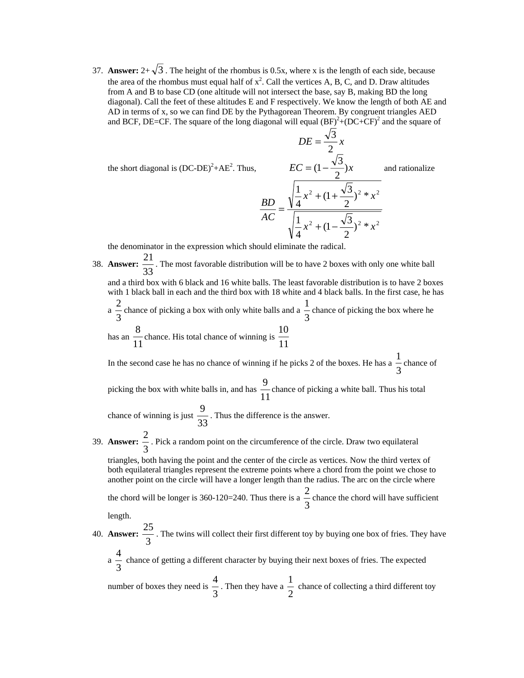37. **Answer:**  $2+\sqrt{3}$ . The height of the rhombus is 0.5x, where x is the length of each side, because the area of the rhombus must equal half of  $x^2$ . Call the vertices A, B, C, and D. Draw altitudes from A and B to base CD (one altitude will not intersect the base, say B, making BD the long diagonal). Call the feet of these altitudes E and F respectively. We know the length of both AE and AD in terms of x, so we can find DE by the Pythagorean Theorem. By congruent triangles AED and BCF, DE=CF. The square of the long diagonal will equal  $(BF)^2 + (DC+CF)^2$  and the square of

the short diagonal is  $(DC-DE)^2+AE^2$ . Thus,

$$
EC = (1 - \frac{\sqrt{3}}{2})x
$$
ar  

$$
\frac{BD}{AC} = \frac{\sqrt{\frac{1}{4}x^2 + (1 + \frac{\sqrt{3}}{2})^2 * x^2}}{\sqrt{\frac{1}{4}x^2 + (1 - \frac{\sqrt{3}}{2})^2 * x^2}}
$$

2  $DE = \frac{\sqrt{3}}{2}x$ 

and rationalize

the denominator in the expression which should eliminate the radical.

38. **Answer:** 33  $\frac{21}{2}$ . The most favorable distribution will be to have 2 boxes with only one white ball and a third box with 6 black and 16 white balls. The least favorable distribution is to have 2 boxes with 1 black ball in each and the third box with 18 white and 4 black balls. In the first case, he has  $a \frac{2}{3}$  $\frac{2}{3}$  chance of picking a box with only white balls and a  $\frac{1}{3}$  $\frac{1}{2}$  chance of picking the box where he has an  $\frac{0}{11}$  $\frac{8}{11}$  chance. His total chance of winning is  $\frac{10}{11}$  $\frac{10}{10}$ 

In the second case he has no chance of winning if he picks 2 of the boxes. He has a  $\frac{1}{3}$  $\frac{1}{2}$  chance of

picking the box with white balls in, and has  $\frac{1}{11}$ 9 chance of picking a white ball. Thus his total

chance of winning is just  $\frac{3}{33}$  $\frac{9}{2}$ . Thus the difference is the answer.

39. **Answer:** 3  $\frac{2}{x}$ . Pick a random point on the circumference of the circle. Draw two equilateral

triangles, both having the point and the center of the circle as vertices. Now the third vertex of both equilateral triangles represent the extreme points where a chord from the point we chose to another point on the circle will have a longer length than the radius. The arc on the circle where

the chord will be longer is 360-120=240. Thus there is a  $\frac{2}{3}$  $\frac{2}{x}$  chance the chord will have sufficient

length.

40. **Answer:**  $\frac{12}{3}$  $\frac{25}{2}$ . The twins will collect their first different toy by buying one box of fries. They have

 $a \frac{1}{3}$ 4<br>
in chance of getting a different character by buying their next boxes of fries. The expected

number of boxes they need is  $\frac{1}{3}$  $\frac{4}{3}$ . Then they have a  $\frac{1}{2}$  $\frac{1}{x}$  chance of collecting a third different toy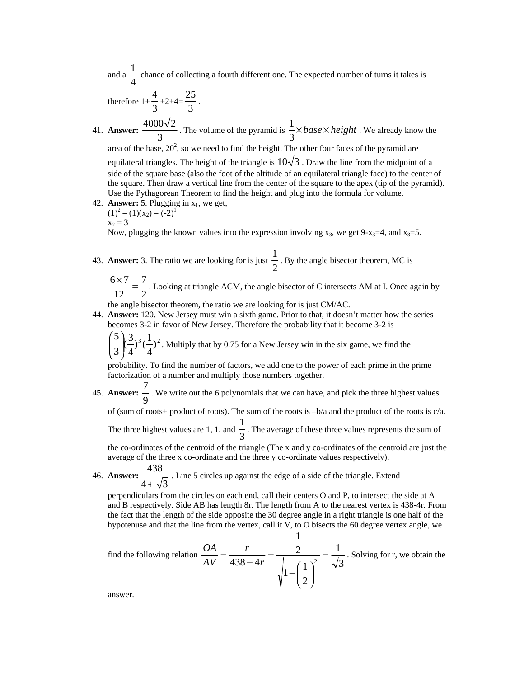and a  $\frac{1}{4}$ 1 chance of collecting a fourth different one. The expected number of turns it takes is

therefore  $1+\frac{1}{3}$  $\frac{4}{3}+2+4=\frac{25}{3}$  $\frac{25}{1}$ .

41. **Answer:** 3  $\frac{4000\sqrt{2}}{3}$ . The volume of the pyramid is  $\frac{1}{3} \times base \times height$ . We already know the area of the base,  $20^2$ , so we need to find the height. The other four faces of the pyramid are equilateral triangles. The height of the triangle is  $10\sqrt{3}$ . Draw the line from the midpoint of a side of the square base (also the foot of the altitude of an equilateral triangle face) to the center of the square. Then draw a vertical line from the center of the square to the apex (tip of the pyramid). Use the Pythagorean Theorem to find the height and plug into the formula for volume.

42. **Answer:** 5. Plugging in  $x_1$ , we get,  $(1)^{2} - (1)(x_{2}) = (-2)^{1}$ 

 $x_2 = 3$ 

Now, plugging the known values into the expression involving  $x_3$ , we get 9-x<sub>3</sub>=4, and x<sub>3</sub>=5.

43. **Answer:** 3. The ratio we are looking for is just  $\frac{1}{2}$  $\frac{1}{2}$ . By the angle bisector theorem, MC is

$$
\frac{6 \times 7}{12} = \frac{7}{2}
$$
. Looking at triangle ACM, the angle bisector of C intersects AM at I. Once again by

the angle bisector theorem, the ratio we are looking for is just CM/AC.

44. **Answer:** 120. New Jersey must win a sixth game. Prior to that, it doesn't matter how the series becomes 3-2 in favor of New Jersey. Therefore the probability that it become 3-2 is

 $^{3}(-)^{2}$  $\left(\frac{3}{4}\right)^3 \left(\frac{1}{4}\right)^3$ 5 ⎟ ⎟ ⎠  $\overline{\phantom{a}}$  $\mathsf I$ ⎝  $\binom{5}{2}$ ,  $\binom{3}{1}$ ,  $\binom{1}{1}$ , Multiply that by 0.75 for a New Jersey win in the six game, we find the

probability. To find the number of factors, we add one to the power of each prime in the prime factorization of a number and multiply those numbers together.

45. **Answer:** 9  $\frac{7}{1}$ . We write out the 6 polynomials that we can have, and pick the three highest values

of (sum of roots+ product of roots). The sum of the roots is –b/a and the product of the roots is c/a.

The three highest values are 1, 1, and  $\frac{1}{3}$  $\frac{1}{1}$ . The average of these three values represents the sum of

the co-ordinates of the centroid of the triangle (The x and y co-ordinates of the centroid are just the average of the three x co-ordinate and the three y co-ordinate values respectively).

46. **Answer:**  $4 + \sqrt{3}$ 438 + . Line 5 circles up against the edge of a side of the triangle. Extend

perpendiculars from the circles on each end, call their centers O and P, to intersect the side at A and B respectively. Side AB has length 8r. The length from A to the nearest vertex is 438-4r. From the fact that the length of the side opposite the 30 degree angle in a right triangle is one half of the hypotenuse and that the line from the vertex, call it V, to O bisects the 60 degree vertex angle, we

1

find the following relation 
$$
\frac{OA}{AV} = \frac{r}{438 - 4r} = \frac{\frac{1}{2}}{\sqrt{1 - (\frac{1}{2})^2}} = \frac{1}{\sqrt{3}}
$$
. Solving for r, we obtain the

answer.